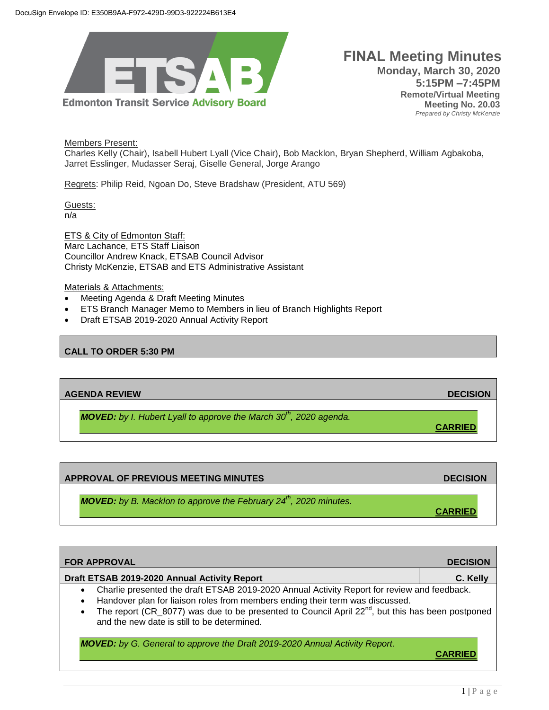

# **FINAL Meeting Minutes Monday, March 30, 2020 5:15PM –7:45PM Remote/Virtual Meeting Meeting No. 20.03**  *Prepared by Christy McKenzie*

Members Present:

Charles Kelly (Chair), Isabell Hubert Lyall (Vice Chair), Bob Macklon, Bryan Shepherd, William Agbakoba, Jarret Esslinger, Mudasser Seraj, Giselle General, Jorge Arango

Regrets: Philip Reid, Ngoan Do, Steve Bradshaw (President, ATU 569)

Guests: n/a

ETS & City of Edmonton Staff: Marc Lachance, ETS Staff Liaison Councillor Andrew Knack, ETSAB Council Advisor Christy McKenzie, ETSAB and ETS Administrative Assistant

#### Materials & Attachments:

- Meeting Agenda & Draft Meeting Minutes
- ETS Branch Manager Memo to Members in lieu of Branch Highlights Report
- Draft ETSAB 2019-2020 Annual Activity Report

## **CALL TO ORDER 5:30 PM**

# **AGENDA REVIEW DECISION**

*MOVED: by I. Hubert Lyall to approve the March 30th, 2020 agenda.*

**APPROVAL OF PREVIOUS MEETING MINUTES ARE ALSO ASSESSED ASSOCIATES AND LOCAL CONTRACT OF A PROVIDING A PROVIDING A PROVIDING A PROVIDING A PROVIDING A PROVIDING A PROVIDING A PROVIDING A PROVIDING A PROVIDING A PROVIDING A** *MOVED: by B. Macklon to approve the February 24th, 2020 minutes.* **CARRIED**

| <b>FOR APPROVAL</b>                                                                                                                                                                                                                                                                                                                                                                | <b>DECISION</b> |  |
|------------------------------------------------------------------------------------------------------------------------------------------------------------------------------------------------------------------------------------------------------------------------------------------------------------------------------------------------------------------------------------|-----------------|--|
| Draft ETSAB 2019-2020 Annual Activity Report                                                                                                                                                                                                                                                                                                                                       | C. Kelly        |  |
| Charlie presented the draft ETSAB 2019-2020 Annual Activity Report for review and feedback.<br>$\bullet$<br>Handover plan for liaison roles from members ending their term was discussed.<br>$\bullet$<br>The report (CR_8077) was due to be presented to Council April 22 <sup>nd</sup> , but this has been postponed<br>$\bullet$<br>and the new date is still to be determined. |                 |  |
| <b>MOVED:</b> by G. General to approve the Draft 2019-2020 Annual Activity Report.                                                                                                                                                                                                                                                                                                 |                 |  |

**CARRIED**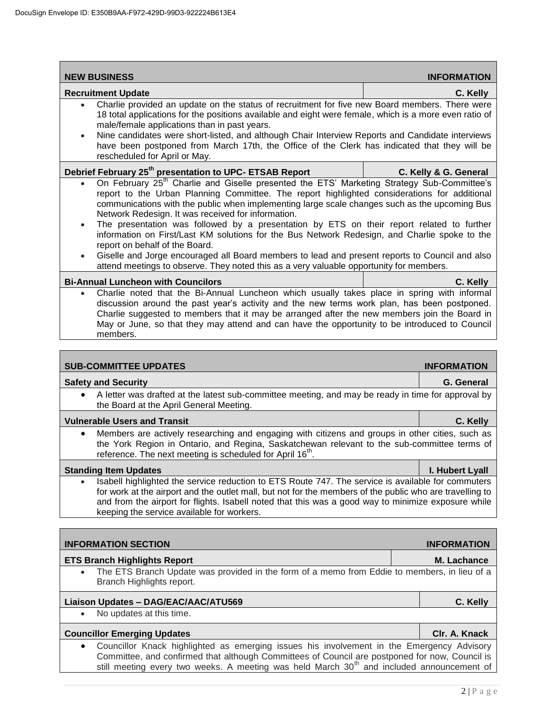| <b>NEW BUSINESS</b>                                                                                                                                                                                                                                                                                                                                                                                                                                                                                                                                                                                                                                                                                                                                                                                                  |  | <b>INFORMATION</b>    |  |
|----------------------------------------------------------------------------------------------------------------------------------------------------------------------------------------------------------------------------------------------------------------------------------------------------------------------------------------------------------------------------------------------------------------------------------------------------------------------------------------------------------------------------------------------------------------------------------------------------------------------------------------------------------------------------------------------------------------------------------------------------------------------------------------------------------------------|--|-----------------------|--|
| <b>Recruitment Update</b>                                                                                                                                                                                                                                                                                                                                                                                                                                                                                                                                                                                                                                                                                                                                                                                            |  | C. Kelly              |  |
| Charlie provided an update on the status of recruitment for five new Board members. There were<br>$\bullet$<br>18 total applications for the positions available and eight were female, which is a more even ratio of<br>male/female applications than in past years.<br>Nine candidates were short-listed, and although Chair Interview Reports and Candidate interviews<br>$\bullet$<br>have been postponed from March 17th, the Office of the Clerk has indicated that they will be<br>rescheduled for April or May.                                                                                                                                                                                                                                                                                              |  |                       |  |
| Debrief February 25 <sup>th</sup> presentation to UPC- ETSAB Report                                                                                                                                                                                                                                                                                                                                                                                                                                                                                                                                                                                                                                                                                                                                                  |  | C. Kelly & G. General |  |
| On February 25 <sup>th</sup> Charlie and Giselle presented the ETS' Marketing Strategy Sub-Committee's<br>report to the Urban Planning Committee. The report highlighted considerations for additional<br>communications with the public when implementing large scale changes such as the upcoming Bus<br>Network Redesign. It was received for information.<br>The presentation was followed by a presentation by ETS on their report related to further<br>$\bullet$<br>information on First/Last KM solutions for the Bus Network Redesign, and Charlie spoke to the<br>report on behalf of the Board.<br>Giselle and Jorge encouraged all Board members to lead and present reports to Council and also<br>$\bullet$<br>attend meetings to observe. They noted this as a very valuable opportunity for members. |  |                       |  |
| <b>Bi-Annual Luncheon with Councilors</b>                                                                                                                                                                                                                                                                                                                                                                                                                                                                                                                                                                                                                                                                                                                                                                            |  | C. Kelly              |  |
| Charlie noted that the Bi-Annual Luncheon which usually takes place in spring with informal<br>$\bullet$<br>discussion around the past year's activity and the new terms work plan, has been postponed.<br>Charlie suggested to members that it may be arranged after the new members join the Board in<br>May or June, so that they may attend and can have the opportunity to be introduced to Council<br>members.                                                                                                                                                                                                                                                                                                                                                                                                 |  |                       |  |
|                                                                                                                                                                                                                                                                                                                                                                                                                                                                                                                                                                                                                                                                                                                                                                                                                      |  |                       |  |
| <b>SUB-COMMITTEE UPDATES</b><br><b>INFORMATION</b>                                                                                                                                                                                                                                                                                                                                                                                                                                                                                                                                                                                                                                                                                                                                                                   |  |                       |  |
| <b>Safety and Security</b>                                                                                                                                                                                                                                                                                                                                                                                                                                                                                                                                                                                                                                                                                                                                                                                           |  | G. General            |  |
| A letter was drafted at the latest sub-committee meeting, and may be ready in time for approval by<br>$\bullet$<br>the Board at the April General Meeting.                                                                                                                                                                                                                                                                                                                                                                                                                                                                                                                                                                                                                                                           |  |                       |  |
| <b>Vulnerable Users and Transit</b>                                                                                                                                                                                                                                                                                                                                                                                                                                                                                                                                                                                                                                                                                                                                                                                  |  | C. Kelly              |  |
| Members are actively researching and engaging with citizens and groups in other cities, such as<br>$\bullet$<br>the York Region in Ontario, and Regina, Saskatchewan relevant to the sub-committee terms of<br>reference. The next meeting is scheduled for April 16 <sup>th</sup> .                                                                                                                                                                                                                                                                                                                                                                                                                                                                                                                                 |  |                       |  |
| <b>Standing Item Updates</b>                                                                                                                                                                                                                                                                                                                                                                                                                                                                                                                                                                                                                                                                                                                                                                                         |  | I. Hubert Lyall       |  |
| Isabell highlighted the service reduction to ETS Route 747. The service is available for commuters<br>for work at the airport and the outlet mall, but not for the members of the public who are travelling to<br>and from the airport for flights. Isabell noted that this was a good way to minimize exposure while<br>keeping the service available for workers.                                                                                                                                                                                                                                                                                                                                                                                                                                                  |  |                       |  |
|                                                                                                                                                                                                                                                                                                                                                                                                                                                                                                                                                                                                                                                                                                                                                                                                                      |  |                       |  |
| <b>INFORMATION SECTION</b>                                                                                                                                                                                                                                                                                                                                                                                                                                                                                                                                                                                                                                                                                                                                                                                           |  | <b>INFORMATION</b>    |  |
| <b>ETS Branch Highlights Report</b>                                                                                                                                                                                                                                                                                                                                                                                                                                                                                                                                                                                                                                                                                                                                                                                  |  | M. Lachance           |  |
| The ETS Branch Update was provided in the form of a memo from Eddie to members, in lieu of a<br>Branch Highlights report.                                                                                                                                                                                                                                                                                                                                                                                                                                                                                                                                                                                                                                                                                            |  |                       |  |
| Liaison Updates - DAG/EAC/AAC/ATU569                                                                                                                                                                                                                                                                                                                                                                                                                                                                                                                                                                                                                                                                                                                                                                                 |  | C. Kelly              |  |
| No updates at this time.<br>$\bullet$                                                                                                                                                                                                                                                                                                                                                                                                                                                                                                                                                                                                                                                                                                                                                                                |  |                       |  |
| <b>Councillor Emerging Updates</b>                                                                                                                                                                                                                                                                                                                                                                                                                                                                                                                                                                                                                                                                                                                                                                                   |  | Clr. A. Knack         |  |
| Councillor Knack highlighted as emerging issues his involvement in the Emergency Advisory<br>Committee, and confirmed that although Committees of Council are postponed for now, Council is                                                                                                                                                                                                                                                                                                                                                                                                                                                                                                                                                                                                                          |  |                       |  |

still meeting every two weeks. A meeting was held March 30<sup>th</sup> and included announcement of